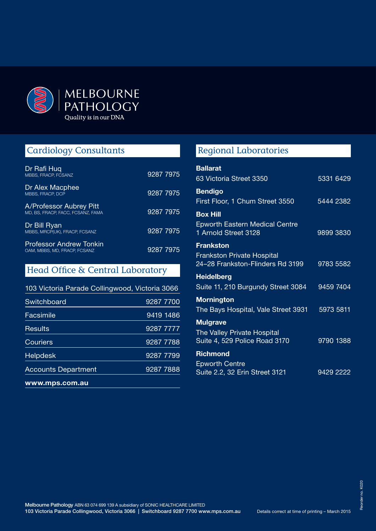

# Cardiology Consultants

| Dr Rafi Hug<br>MBBS. FRACP. FCSANZ                             | 9287 7975 |
|----------------------------------------------------------------|-----------|
| Dr Alex Macphee<br>MBBS, FRACP, DCP                            | 9287 7975 |
| A/Professor Aubrey Pitt<br>MD. BS. FRACP. FACC. FCSANZ. FAMA   | 9287 7975 |
| Dr Bill Ryan<br>MBBS, MRCP(UK), FRACP, FCSANZ                  | 9287 7975 |
| <b>Professor Andrew Tonkin</b><br>OAM, MBBS, MD, FRACP, FCSANZ | 9287 7975 |

## Head Office & Central Laboratory

| www.mps.com.au             |           |
|----------------------------|-----------|
| <b>Accounts Department</b> | 9287 7888 |
| <b>Helpdesk</b>            | 9287 7799 |
| Couriers                   | 9287 7788 |
| Results                    | 9287 7777 |
| Facsimile                  | 9419 1486 |
| Switchboard                | 9287 7700 |
|                            |           |

# Regional Laboratories

| <b>Ballarat</b>                                                       |           |
|-----------------------------------------------------------------------|-----------|
| 63 Victoria Street 3350                                               | 5331 6429 |
| <b>Bendigo</b>                                                        |           |
| First Floor, 1 Chum Street 3550                                       | 5444 2382 |
| <b>Box Hill</b>                                                       |           |
| <b>Epworth Eastern Medical Centre</b><br>1 Arnold Street 3128         | 9899 3830 |
| <b>Frankston</b>                                                      |           |
| <b>Frankston Private Hospital</b><br>24-28 Frankston-Flinders Rd 3199 | 9783 5582 |
| <b>Heidelberg</b>                                                     |           |
| Suite 11, 210 Burgundy Street 3084                                    | 9459 7404 |
| <b>Mornington</b>                                                     |           |
| The Bays Hospital, Vale Street 3931                                   | 5973 5811 |
| <b>Mulgrave</b>                                                       |           |
| The Valley Private Hospital<br>Suite 4, 529 Police Road 3170          | 9790 1388 |
| Richmond                                                              |           |
| <b>Epworth Centre</b>                                                 |           |
| Suite 2.2, 32 Erin Street 3121                                        | 9429 2222 |
|                                                                       |           |

Melbourne Pathology ABN 63 074 699 139 A subsidiary of SONIC HEALTHCARE LIMITED 103 Victoria Parade Collingwood, Victoria 3066 | Switchboard 9287 7700 www.mps.com.au Details correct at time of printing – March 2015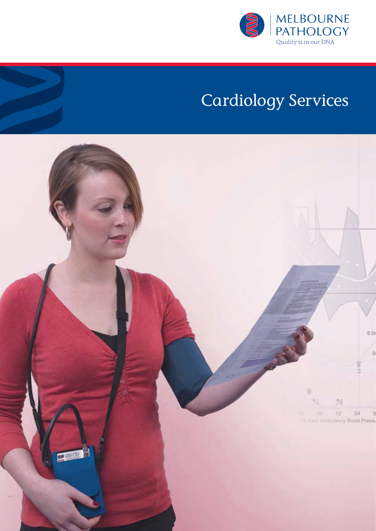

# Cardiology Services

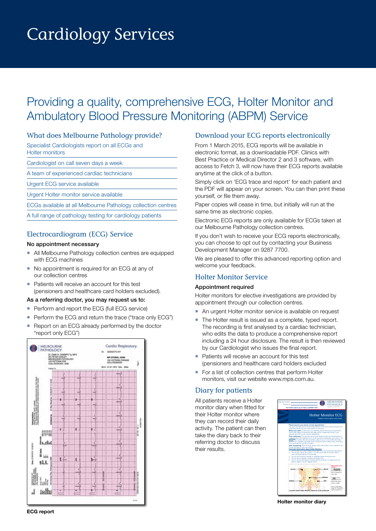# Cardiology Services

# Providing a quality, comprehensive ECG, Holter Monitor and Ambulatory Blood Pressure Monitoring (ABPM) Service

#### What does Melbourne Pathology provide?

Specialist Cardiologists report on all ECGs and

Holter monitors

Cardiologist on call seven days a week

A team of experienced cardiac technicians

Urgent ECG service available

Urgent Holter monitor service available

ECGs available at all Melbourne Pathology collection centres

A full range of pathology testing for cardiology patients

### Electrocardiogram (ECG) Service

#### No appointment necessary

- All Melbourne Pathology collection centres are equipped with ECG machines
- No appointment is required for an ECG at any of our collection centres
- Patients will receive an account for this test (pensioners and healthcare card holders excluded).

#### As a referring doctor, you may request us to:

- Perform and report the ECG (full ECG service)
- Perform the ECG and return the trace ("trace only ECG")
- Report on an ECG already performed by the doctor "report only ECG")



### Download your ECG reports electronically

From 1 March 2015, ECG reports will be available in electronic format, as a downloadable PDF. Clinics with Best Practice or Medical Director 2 and 3 software, with access to Fetch 3, will now have their ECG reports available anytime at the click of a button.

Simply click on 'ECG trace and report' for each patient and the PDF will appear on your screen. You can then print these yourself, or file them away.

Paper copies will cease in time, but initially will run at the same time as electronic copies.

Electronic ECG reports are only available for ECGs taken at our Melbourne Pathology collection centres.

If you don't wish to receive your ECG reports electronically, you can choose to opt out by contacting your Business Development Manager on 9287 7700.

We are pleased to offer this advanced reporting option and welcome your feedback.

#### Holter Monitor Service

#### Appointment required

Holter monitors for elective investigations are provided by appointment through our collection centres.

- An urgent Holter monitor service is available on request
- The Holter result is issued as a complete, typed report. The recording is first analysed by a cardiac technician, who edits the data to produce a comprehensive report including a 24 hour disclosure. The result is then reviewed by our Cardiologist who issues the final report.
- Patients will receive an account for this test (pensioners and healthcare card holders excluded
- For a list of collection centres that perform Holter monitors, visit our website www.mps.com.au.

#### Diary for patients

All patients receive a Holter monitor diary when fitted for their Holter monitor where **the contract of the Holter Monitor ECG** they can record their daily activity. The patient can then take the diary back to their referring doctor to discuss their results.  $\mathbf{a}$ 



**Holter monitor diary**

**ECG report**